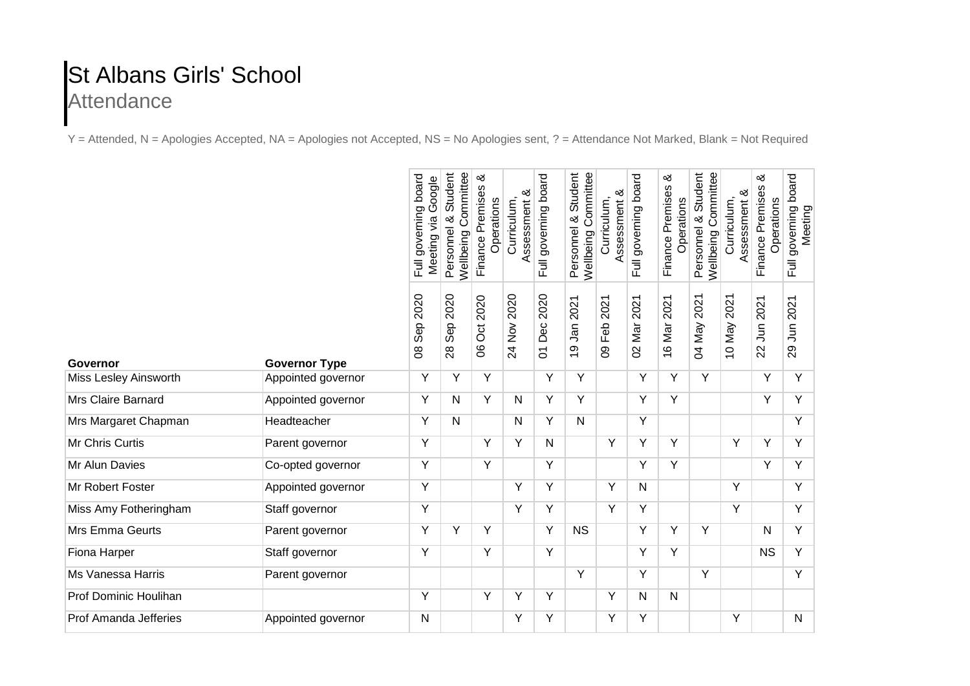## St Albans Girls' School **Attendance**

Y = Attended, N = Apologies Accepted, NA = Apologies not Accepted, NS = No Apologies sent, ? = Attendance Not Marked, Blank = Not Required

|                       |                      | board<br>Google<br>Full governing<br>Meeting via | Committee<br>Student<br>య<br>Personnel<br>Wellbeing | య<br>Finance Premises<br>Operations | ళ<br>Curriculum,<br>ssessment                                             | Full governing board    | Wellbeing Committee<br>Student<br>త<br>Personnel | య<br>Curriculum,<br>Assessment | Full governing board    | ళ<br>Finance Premises<br>Operations | <b>Wellbeing Committee</b><br>Student<br>Personnel & | ళ<br>Curriculum,<br>Assessment | ళ<br>Finance Premises<br>Operations | board<br>governing<br>Meeting<br>$\overline{5}$ |
|-----------------------|----------------------|--------------------------------------------------|-----------------------------------------------------|-------------------------------------|---------------------------------------------------------------------------|-------------------------|--------------------------------------------------|--------------------------------|-------------------------|-------------------------------------|------------------------------------------------------|--------------------------------|-------------------------------------|-------------------------------------------------|
| Governor              | <b>Governor Type</b> | 2020<br>Sep<br>8                                 | 2020<br>Sep<br>28                                   | 2020<br>Oct<br>8                    | 2020<br>$\stackrel{\textstyle{>}}{\textstyle{\simeq}}$<br>$\overline{24}$ | 2020<br>Dec<br>$\delta$ | 2021<br>Jan<br>ၜ<br>$\overline{\phantom{0}}$     | 2021<br>Feb<br>80              | 2021<br>Nar<br>$\delta$ | 2021<br>16 Mar :                    | 2021<br>Nay<br>2                                     | 2021<br>10 May                 | 2021<br>$\overline{5}$<br>22        | 2021<br>29 Jun 2                                |
| Miss Lesley Ainsworth | Appointed governor   | Y                                                | Y                                                   | Y                                   |                                                                           | Y                       | Y                                                |                                | Y                       | Y                                   | Y                                                    |                                | Y                                   | Y                                               |
| Mrs Claire Barnard    | Appointed governor   | Y                                                | N                                                   | Y                                   | N                                                                         | Y                       | Y                                                |                                | Υ                       | Y                                   |                                                      |                                | Y                                   | Y                                               |
| Mrs Margaret Chapman  | Headteacher          | Y                                                | N                                                   |                                     | N                                                                         | Y                       | $\mathsf{N}$                                     |                                | Y                       |                                     |                                                      |                                |                                     | Y                                               |
| Mr Chris Curtis       | Parent governor      | Y                                                |                                                     | Y                                   | Y                                                                         | N                       |                                                  | Y                              | Y                       | Y                                   |                                                      | Υ                              | Y                                   | Y                                               |
| Mr Alun Davies        | Co-opted governor    | Y                                                |                                                     | Y                                   |                                                                           | Y                       |                                                  |                                | Y                       | $\overline{Y}$                      |                                                      |                                | Y                                   | Y                                               |
| Mr Robert Foster      | Appointed governor   | Y                                                |                                                     |                                     | Y                                                                         | Y                       |                                                  | Y                              | N                       |                                     |                                                      | Υ                              |                                     | Y                                               |
| Miss Amy Fotheringham | Staff governor       | Υ                                                |                                                     |                                     | Υ                                                                         | Y                       |                                                  | Y                              | Υ                       |                                     |                                                      | Y                              |                                     | Y                                               |
| Mrs Emma Geurts       | Parent governor      | Y                                                | Y                                                   | Y                                   |                                                                           | Y                       | <b>NS</b>                                        |                                | Y                       | Υ                                   | Υ                                                    |                                | N                                   | Y                                               |
| Fiona Harper          | Staff governor       | Y                                                |                                                     | Y                                   |                                                                           | Υ                       |                                                  |                                | Y                       | Y                                   |                                                      |                                | <b>NS</b>                           | Y                                               |
| Ms Vanessa Harris     | Parent governor      |                                                  |                                                     |                                     |                                                                           |                         | Y                                                |                                | Υ                       |                                     | Y                                                    |                                |                                     | Y                                               |
| Prof Dominic Houlihan |                      | Y                                                |                                                     | Y                                   | Υ                                                                         | Y                       |                                                  | Y                              | N                       | $\mathsf{N}$                        |                                                      |                                |                                     |                                                 |
| Prof Amanda Jefferies | Appointed governor   | N                                                |                                                     |                                     | Υ                                                                         | Υ                       |                                                  | Υ                              | Υ                       |                                     |                                                      | Υ                              |                                     | N                                               |